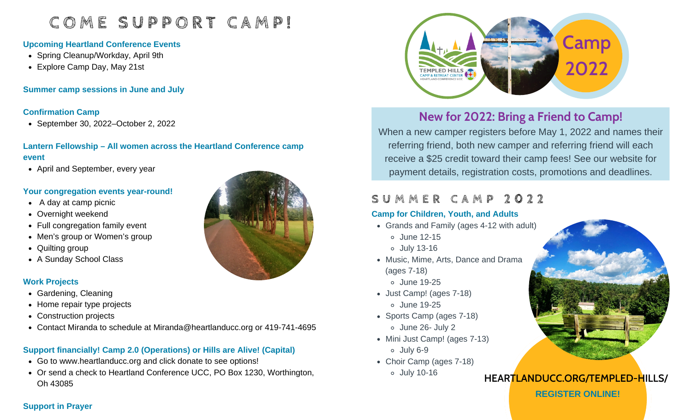# **C O M E S U P P O R T C A M P !**

#### **Upcoming Heartland Conference Events**

- Spring Cleanup/Workday, April 9th
- Explore Camp Day, May 21st

**Summer camp sessions in June and July**

#### **Confirmation Camp**

September 30, 2022–October 2, 2022

### **Lantern Fellowship – All women across the Heartland Conference camp event**

• April and September, every year

#### **Your congregation events year-round!**

- $\bullet$  A day at camp picnic
- Overnight weekend
- Full congregation family event
- Men's group or Women's group
- Quilting group
- A Sunday School Class

### **Work Projects**

- Gardening, Cleaning
- Home repair type projects
- Construction projects
- Contact Miranda to schedule at Miranda@heartlanducc.org or 419-741-4695

## **Support financially! Camp 2.0 (Operations) or Hills are Alive! (Capital)**

- Go to www.heartlanducc.org and click donate to see options!
- Or send a check to Heartland Conference UCC, PO Box 1230, Worthington, Oh 43085





# **New for 2022: Bring a Friend to Camp!**

When a new camper registers before May 1, 2022 and names their referring friend, both new camper and referring friend will each receive a \$25 credit toward their camp fees! See our website for payment details, registration costs, promotions and deadlines.

# **S U M M E R C A M P 2 0 2 2**

### **Camp for Children, Youth, and Adults**

- Grands and Family (ages 4-12 with adult)
	- June 12-15
	- July 13-16
- Music, Mime, Arts, Dance and Drama June 19-25 (ages 7-18)
- Just Camp! (ages 7-18) June 19-25
- Sports Camp (ages 7-18) June 26- July 2
- Mini Just Camp! (ages 7-13) July 6-9
- Choir Camp (ages 7-18)
	- July 10-16



## **HEARTLANDUCC.ORG/TEMPLED-HILLS/**

**REGISTER ONLINE!**

### **Support in Prayer**